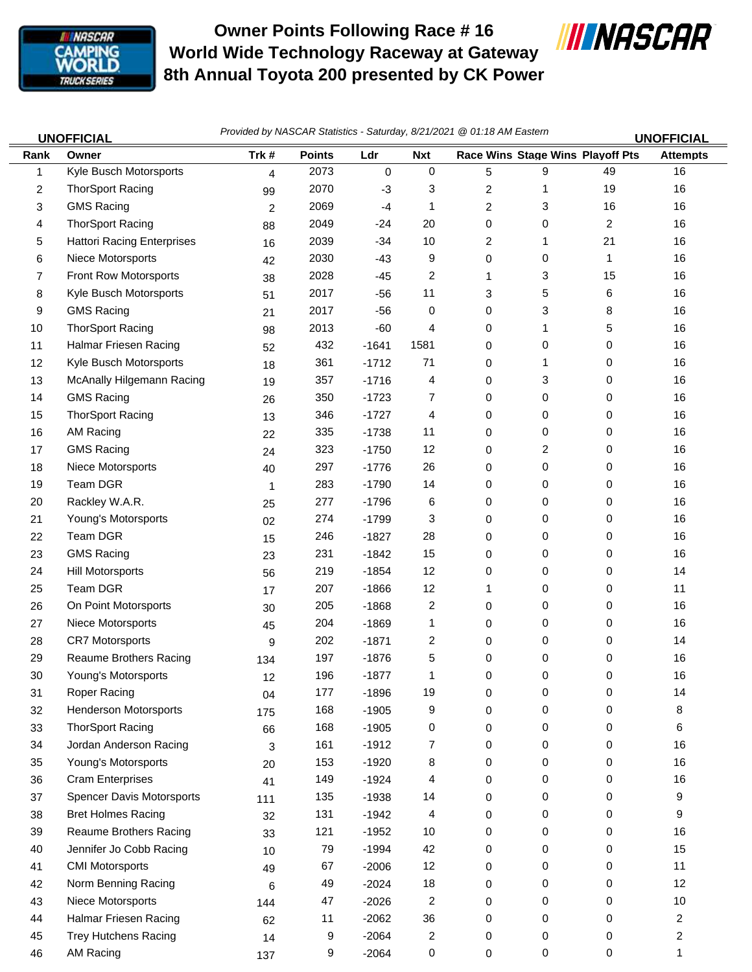

## **Owner Points Following Race # 16 World Wide Technology Raceway at Gateway 8th Annual Toyota 200 presented by CK Power**



| <b>UNOFFICIAL</b> |                                   | Provided by NASCAR Statistics - Saturday, 8/21/2021 @ 01:18 AM Eastern |               |         |             |   |                                  |    | <b>UNOFFICIAL</b> |
|-------------------|-----------------------------------|------------------------------------------------------------------------|---------------|---------|-------------|---|----------------------------------|----|-------------------|
| Rank              | Owner                             | Trk#                                                                   | <b>Points</b> | Ldr     | <b>Nxt</b>  |   | Race Wins Stage Wins Playoff Pts |    | <b>Attempts</b>   |
| 1                 | Kyle Busch Motorsports            | $\overline{4}$                                                         | 2073          | 0       | $\mathbf 0$ | 5 | 9                                | 49 | 16                |
| 2                 | <b>ThorSport Racing</b>           | 99                                                                     | 2070          | $-3$    | 3           | 2 | 1                                | 19 | 16                |
| 3                 | <b>GMS Racing</b>                 | $\overline{2}$                                                         | 2069          | $-4$    | 1           | 2 | 3                                | 16 | 16                |
| 4                 | <b>ThorSport Racing</b>           | 88                                                                     | 2049          | $-24$   | 20          | 0 | 0                                | 2  | 16                |
| 5                 | <b>Hattori Racing Enterprises</b> | 16                                                                     | 2039          | $-34$   | 10          | 2 | 1                                | 21 | 16                |
| 6                 | Niece Motorsports                 | 42                                                                     | 2030          | $-43$   | 9           | 0 | 0                                | 1  | 16                |
| 7                 | Front Row Motorsports             | 38                                                                     | 2028          | $-45$   | 2           | 1 | 3                                | 15 | 16                |
| 8                 | Kyle Busch Motorsports            | 51                                                                     | 2017          | $-56$   | 11          | 3 | 5                                | 6  | 16                |
| 9                 | <b>GMS Racing</b>                 | 21                                                                     | 2017          | $-56$   | 0           | 0 | 3                                | 8  | 16                |
| 10                | <b>ThorSport Racing</b>           | 98                                                                     | 2013          | $-60$   | 4           | 0 | 1                                | 5  | 16                |
| 11                | Halmar Friesen Racing             | 52                                                                     | 432           | $-1641$ | 1581        | 0 | 0                                | 0  | 16                |
| 12                | Kyle Busch Motorsports            | 18                                                                     | 361           | $-1712$ | 71          | 0 | 1                                | 0  | 16                |
| 13                | McAnally Hilgemann Racing         | 19                                                                     | 357           | $-1716$ | 4           | 0 | 3                                | 0  | 16                |
| 14                | <b>GMS Racing</b>                 | 26                                                                     | 350           | $-1723$ | 7           | 0 | 0                                | 0  | 16                |
| 15                | <b>ThorSport Racing</b>           | 13                                                                     | 346           | $-1727$ | 4           | 0 | 0                                | 0  | 16                |
| 16                | AM Racing                         | 22                                                                     | 335           | $-1738$ | 11          | 0 | 0                                | 0  | 16                |
| 17                | <b>GMS Racing</b>                 | 24                                                                     | 323           | $-1750$ | 12          | 0 | 2                                | 0  | 16                |
| 18                | Niece Motorsports                 | 40                                                                     | 297           | $-1776$ | 26          | 0 | 0                                | 0  | 16                |
| 19                | Team DGR                          | 1                                                                      | 283           | $-1790$ | 14          | 0 | 0                                | 0  | 16                |
| 20                | Rackley W.A.R.                    | 25                                                                     | 277           | $-1796$ | 6           | 0 | 0                                | 0  | 16                |
| 21                | Young's Motorsports               | 02                                                                     | 274           | $-1799$ | 3           | 0 | 0                                | 0  | 16                |
| 22                | Team DGR                          | 15                                                                     | 246           | $-1827$ | 28          | 0 | 0                                | 0  | 16                |
| 23                | <b>GMS Racing</b>                 | 23                                                                     | 231           | $-1842$ | 15          | 0 | 0                                | 0  | 16                |
| 24                | Hill Motorsports                  | 56                                                                     | 219           | $-1854$ | 12          | 0 | 0                                | 0  | 14                |
| 25                | Team DGR                          | 17                                                                     | 207           | $-1866$ | 12          | 1 | 0                                | 0  | 11                |
| 26                | On Point Motorsports              | 30                                                                     | 205           | $-1868$ | 2           | 0 | 0                                | 0  | 16                |
| 27                | Niece Motorsports                 | 45                                                                     | 204           | $-1869$ | 1           | 0 | 0                                | 0  | 16                |
| 28                | <b>CR7 Motorsports</b>            | 9                                                                      | 202           | $-1871$ | 2           | 0 | 0                                | 0  | 14                |
| 29                | <b>Reaume Brothers Racing</b>     | 134                                                                    | 197           | $-1876$ | 5           | 0 | 0                                | 0  | 16                |
| 30                | Young's Motorsports               | 12                                                                     | 196           | $-1877$ |             | 0 | 0                                | 0  | 16                |
| 31                | Roper Racing                      | 04                                                                     | 177           | $-1896$ | 19          | 0 | 0                                | 0  | 14                |
| 32                | <b>Henderson Motorsports</b>      | 175                                                                    | 168           | $-1905$ | 9           | 0 | 0                                | 0  | 8                 |
| 33                | <b>ThorSport Racing</b>           | 66                                                                     | 168           | $-1905$ | 0           | 0 | 0                                | 0  | 6                 |
| 34                | Jordan Anderson Racing            | 3                                                                      | 161           | $-1912$ | 7           | 0 | 0                                | 0  | 16                |
| 35                | Young's Motorsports               | 20                                                                     | 153           | $-1920$ | 8           | 0 | 0                                | 0  | 16                |
| 36                | <b>Cram Enterprises</b>           | 41                                                                     | 149           | $-1924$ | 4           | 0 | 0                                | 0  | 16                |
| 37                | <b>Spencer Davis Motorsports</b>  | 111                                                                    | 135           | $-1938$ | 14          | 0 | 0                                | 0  | 9                 |
| 38                | <b>Bret Holmes Racing</b>         | 32                                                                     | 131           | $-1942$ | 4           | 0 | 0                                | 0  | 9                 |
| 39                | Reaume Brothers Racing            | 33                                                                     | 121           | $-1952$ | 10          | 0 | 0                                | 0  | 16                |
| 40                | Jennifer Jo Cobb Racing           | 10                                                                     | 79            | $-1994$ | 42          | 0 | 0                                | 0  | 15                |
| 41                | <b>CMI Motorsports</b>            | 49                                                                     | 67            | $-2006$ | 12          | 0 | 0                                | 0  | 11                |
| 42                | Norm Benning Racing               | 6                                                                      | 49            | $-2024$ | 18          | 0 | 0                                | 0  | 12                |
| 43                | Niece Motorsports                 | 144                                                                    | 47            | $-2026$ | 2           | 0 | 0                                | 0  | $10\,$            |
| 44                | Halmar Friesen Racing             | 62                                                                     | 11            | $-2062$ | 36          | 0 | 0                                | 0  | $\overline{2}$    |

45 Trey Hutchens Racing 14 9 -2064 2 0 0 0 2 46 AM Racing 137 9 -2064 0 0 0 0 0 1